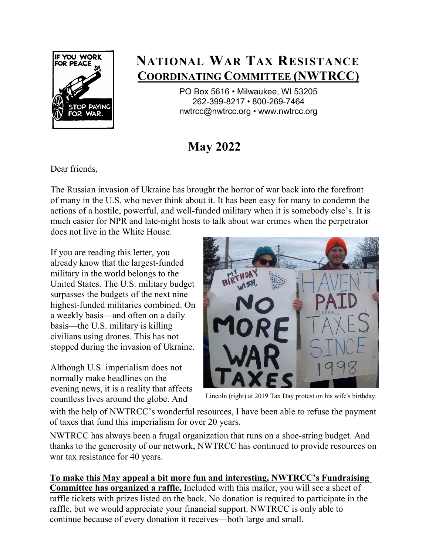

## **NATIONAL WAR TAX RESISTANCE COORDINATING COMMITTEE (NWTRCC)**

PO Box 5616 • Milwaukee, WI 53205 262-399-8217 • 800-269-7464 [nwtrcc@nwtrcc.org •](mailto:nwtrcc@nwtrcc.org) [www.nwtrcc.org](http://www.nwtrcc.org/)

## **May 2022**

Dear friends,

The Russian invasion of Ukraine has brought the horror of war back into the forefront of many in the U.S. who never think about it. It has been easy for many to condemn the actions of a hostile, powerful, and well-funded military when it is somebody else's. It is much easier for NPR and late-night hosts to talk about war crimes when the perpetrator does not live in the White House.

If you are reading this letter, you already know that the largest-funded military in the world belongs to the United States. The U.S. military budget surpasses the budgets of the next nine highest-funded militaries combined. On a weekly basis—and often on a daily basis—the U.S. military is killing civilians using drones. This has not stopped during the invasion of Ukraine.

Although U.S. imperialism does not normally make headlines on the evening news, it is a reality that affects countless lives around the globe. And



Lincoln (right) at 2019 Tax Day protest on his wife's birthday.

with the help of NWTRCC's wonderful resources, I have been able to refuse the payment of taxes that fund this imperialism for over 20 years.

NWTRCC has always been a frugal organization that runs on a shoe-string budget. And thanks to the generosity of our network, NWTRCC has continued to provide resources on war tax resistance for 40 years.

**To make this May appeal a bit more fun and interesting, NWTRCC's Fundraising Committee has organized a raffle.** Included with this mailer, you will see a sheet of raffle tickets with prizes listed on the back. No donation is required to participate in the raffle, but we would appreciate your financial support. NWTRCC is only able to continue because of every donation it receives—both large and small.